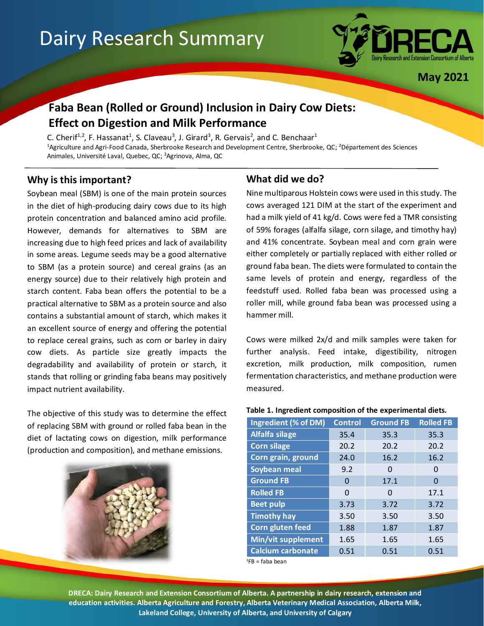# Dairy Research Summary



**May 2021**

## **Faba Bean (Rolled or Ground) Inclusion in Dairy Cow Diets: Effect on Digestion and Milk Performance**

C. Cherif<sup>1,2</sup>, F. Hassanat<sup>1</sup>, S. Claveau<sup>3</sup>, J. Girard<sup>3</sup>, R. Gervais<sup>2</sup>, and C. Benchaar<sup>1</sup> <sup>1</sup>Agriculture and Agri-Food Canada, Sherbrooke Research and Development Centre, Sherbrooke, QC; <sup>2</sup>Département des Sciences Animales, Université Laval, Quebec, QC; <sup>3</sup>Agrinova, Alma, QC

## **Why is this important?**

Soybean meal (SBM) is one of the main protein sources in the diet of high-producing dairy cows due to its high protein concentration and balanced amino acid profile. However, demands for alternatives to SBM are increasing due to high feed prices and lack of availability in some areas. Legume seeds may be a good alternative to SBM (as a protein source) and cereal grains (as an energy source) due to their relatively high protein and starch content. Faba bean offers the potential to be a practical alternative to SBM as a protein source and also contains a substantial amount of starch, which makes it an excellent source of energy and offering the potential to replace cereal grains, such as corn or barley in dairy cow diets. As particle size greatly impacts the degradability and availability of protein or starch, it stands that rolling or grinding faba beans may positively impact nutrient availability.

The objective of this study was to determine the effect of replacing SBM with ground or rolled faba bean in the diet of lactating cows on digestion, milk performance (production and composition), and methane emissions.



## **What did we do?**

Nine multiparous Holstein cows were used in this study. The cows averaged 121 DIM at the start of the experiment and had a milk yield of 41 kg/d. Cows were fed a TMR consisting of 59% forages (alfalfa silage, corn silage, and timothy hay) and 41% concentrate. Soybean meal and corn grain were either completely or partially replaced with either rolled or ground faba bean. The diets were formulated to contain the same levels of protein and energy, regardless of the feedstuff used. Rolled faba bean was processed using a roller mill, while ground faba bean was processed using a hammer mill.

Cows were milked 2x/d and milk samples were taken for further analysis. Feed intake, digestibility, nitrogen excretion, milk production, milk composition, rumen fermentation characteristics, and methane production were measured.

#### **Table 1. Ingredient composition of the experimental diets.**

| Ingredient (% of DM)     | <b>Control</b> | <b>Ground FB</b> | <b>Rolled FB</b> |
|--------------------------|----------------|------------------|------------------|
| <b>Alfalfa silage</b>    | 35.4           | 35.3             | 35.3             |
| <b>Corn silage</b>       | 20.2           | 20.2             | 20.2             |
| Corn grain, ground       | 24.0           | 16.2             | 16.2             |
| Soybean meal             | 9.2            | O                | 0                |
| <b>Ground FB</b>         | 0              | 17.1             | 0                |
| <b>Rolled FB</b>         | 0              | 0                | 17.1             |
| <b>Beet pulp</b>         | 3.73           | 3.72             | 3.72             |
| <b>Timothy hay</b>       | 3.50           | 3.50             | 3.50             |
| Corn gluten feed         | 1.88           | 1.87             | 1.87             |
| Min/vit supplement       | 1.65           | 1.65             | 1.65             |
| <b>Calcium carbonate</b> | 0.51           | 0.51             | 0.51             |

 $1$ FB = faba bean